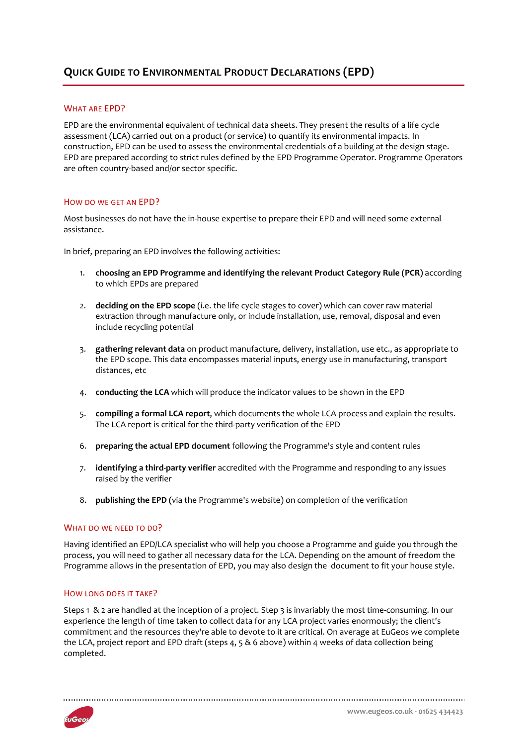# **QUICK GUIDE TO ENVIRONMENTAL PRODUCT DECLARATIONS (EPD)**

## WHAT ARE EPD?

EPD are the environmental equivalent of technical data sheets. They present the results of a life cycle assessment (LCA) carried out on a product (or service) to quantify its environmental impacts. In construction, EPD can be used to assess the environmental credentials of a building at the design stage. EPD are prepared according to strict rules defined by the EPD Programme Operator. Programme Operators are often country-based and/or sector specific.

### HOW DO WE GET AN EPD?

Most businesses do not have the in-house expertise to prepare their EPD and will need some external assistance.

In brief, preparing an EPD involves the following activities:

- 1. **choosing an EPD Programme and identifying the relevant Product Category Rule (PCR)** according to which EPDs are prepared
- 2. **deciding on the EPD scope** (i.e. the life cycle stages to cover) which can cover raw material extraction through manufacture only, or include installation, use, removal, disposal and even include recycling potential
- 3. **gathering relevant data** on product manufacture, delivery, installation, use etc., as appropriate to the EPD scope. This data encompasses material inputs, energy use in manufacturing, transport distances, etc
- 4. **conducting the LCA** which will produce the indicator values to be shown in the EPD
- 5. **compiling a formal LCA report**, which documents the whole LCA process and explain the results. The LCA report is critical for the third-party verification of the EPD
- 6. **preparing the actual EPD document** following the Programme's style and content rules
- 7. **identifying a third-party verifier** accredited with the Programme and responding to any issues raised by the verifier
- 8. **publishing the EPD (**via the Programme's website) on completion of the verification

## WHAT DO WE NEED TO DO?

Having identified an EPD/LCA specialist who will help you choose a Programme and guide you through the process, you will need to gather all necessary data for the LCA. Depending on the amount of freedom the Programme allows in the presentation of EPD, you may also design the document to fit your house style.

## HOW LONG DOES IT TAKE?

Steps 1 & 2 are handled at the inception of a project. Step 3 is invariably the most time-consuming. In our experience the length of time taken to collect data for any LCA project varies enormously; the client's commitment and the resources they're able to devote to it are critical. On average at EuGeos we complete the LCA, project report and EPD draft (steps 4, 5 & 6 above) within 4 weeks of data collection being completed.